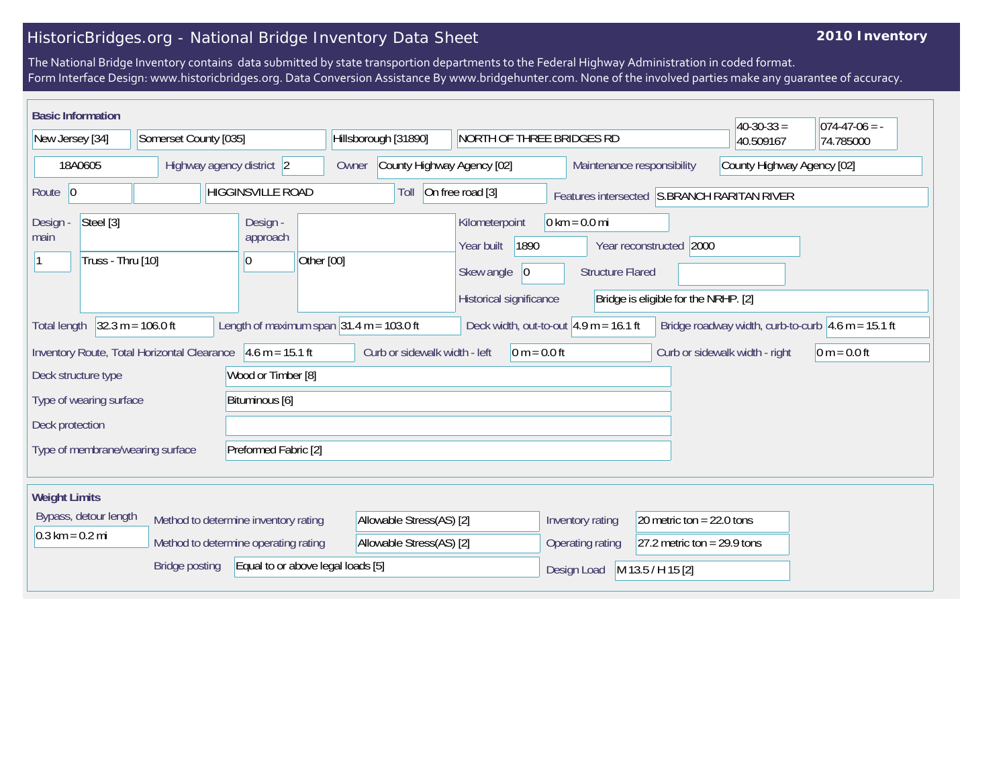## HistoricBridges.org - National Bridge Inventory Data Sheet

## **2010 Inventory**

The National Bridge Inventory contains data submitted by state transportion departments to the Federal Highway Administration in coded format. Form Interface Design: www.historicbridges.org. Data Conversion Assistance By www.bridgehunter.com. None of the involved parties make any guarantee of accuracy.

| <b>Basic Information</b>                                      |                       |                                      |                                            |                                                                                              |                                                            |                                                                 | $40-30-33 =$                                                           | $074-47-06 = -$ |
|---------------------------------------------------------------|-----------------------|--------------------------------------|--------------------------------------------|----------------------------------------------------------------------------------------------|------------------------------------------------------------|-----------------------------------------------------------------|------------------------------------------------------------------------|-----------------|
| New Jersey [34]<br>Somerset County [035]                      |                       | Hillsborough [31890]                 | NORTH OF THREE BRIDGES RD                  |                                                                                              |                                                            | 40.509167                                                       | 74.785000                                                              |                 |
| 18A0605<br>Highway agency district 2                          |                       |                                      | County Highway Agency [02]<br>Owner        |                                                                                              | Maintenance responsibility                                 | County Highway Agency [02]                                      |                                                                        |                 |
| <b>HIGGINSVILLE ROAD</b><br>Route 0                           |                       |                                      | Toll                                       | On free road [3]                                                                             |                                                            |                                                                 | Features intersected S.BRANCH RARITAN RIVER                            |                 |
| Steel [3]<br>Design -<br>main<br>Truss - Thru [10]            |                       | Design -<br>approach<br> 0           | Other [00]                                 | Kilometerpoint<br>1890<br>Year built<br>Skew angle<br>$ 0\rangle$<br>Historical significance | $0 \text{ km} = 0.0 \text{ mi}$<br><b>Structure Flared</b> | Year reconstructed 2000<br>Bridge is eligible for the NRHP. [2] |                                                                        |                 |
| <b>Total length</b>                                           | $32.3 m = 106.0 ft$   |                                      | Length of maximum span $31.4$ m = 103.0 ft | Deck width, out-to-out $ 4.9 \text{ m} = 16.1 \text{ ft} $                                   |                                                            |                                                                 | Bridge roadway width, curb-to-curb $ 4.6 \text{ m} = 15.1 \text{ ft} $ |                 |
| Inventory Route, Total Horizontal Clearance 4.6 m = 15.1 ft   |                       |                                      | Curb or sidewalk width - left              | $0 m = 0.0 ft$                                                                               |                                                            |                                                                 | Curb or sidewalk width - right                                         | $ 0 m = 0.0 ft$ |
| Deck structure type                                           |                       | Wood or Timber [8]                   |                                            |                                                                                              |                                                            |                                                                 |                                                                        |                 |
| Type of wearing surface<br>Bituminous [6]                     |                       |                                      |                                            |                                                                                              |                                                            |                                                                 |                                                                        |                 |
| Deck protection                                               |                       |                                      |                                            |                                                                                              |                                                            |                                                                 |                                                                        |                 |
| Type of membrane/wearing surface                              |                       | Preformed Fabric [2]                 |                                            |                                                                                              |                                                            |                                                                 |                                                                        |                 |
| <b>Weight Limits</b>                                          |                       |                                      |                                            |                                                                                              |                                                            |                                                                 |                                                                        |                 |
| Bypass, detour length<br>Method to determine inventory rating |                       | Allowable Stress(AS) [2]             |                                            | Inventory rating                                                                             | 20 metric ton = $22.0$ tons                                |                                                                 |                                                                        |                 |
| $0.3 \text{ km} = 0.2 \text{ mi}$                             |                       | Method to determine operating rating | Allowable Stress(AS) [2]                   |                                                                                              | Operating rating                                           | 27.2 metric ton = $29.9$ tons                                   |                                                                        |                 |
|                                                               | <b>Bridge posting</b> | Equal to or above legal loads [5]    |                                            |                                                                                              | Design Load                                                | M 13.5 / H 15 [2]                                               |                                                                        |                 |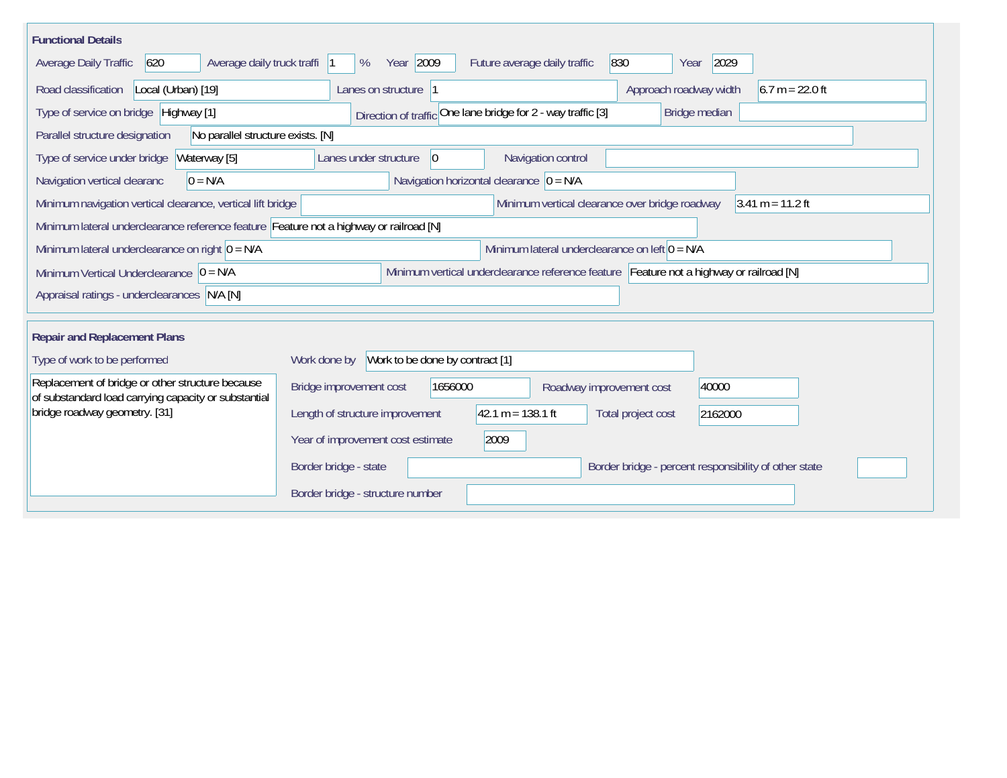| <b>Functional Details</b>                                                                                                           |                                                                                         |  |  |  |  |  |  |  |
|-------------------------------------------------------------------------------------------------------------------------------------|-----------------------------------------------------------------------------------------|--|--|--|--|--|--|--|
| 620<br>Average daily truck traffi<br>Average Daily Traffic                                                                          | Year 2009<br>830<br>2029<br>Future average daily traffic<br>%<br>Year                   |  |  |  |  |  |  |  |
| Road classification<br>Local (Urban) [19]                                                                                           | $6.7 m = 22.0 ft$<br>Approach roadway width<br>Lanes on structure  1                    |  |  |  |  |  |  |  |
| Type of service on bridge Highway [1]                                                                                               | Direction of traffic One lane bridge for 2 - way traffic [3]<br>Bridge median           |  |  |  |  |  |  |  |
| Parallel structure designation<br>No parallel structure exists. [N]                                                                 |                                                                                         |  |  |  |  |  |  |  |
| Type of service under bridge<br>Waterway [5]                                                                                        | Navigation control<br>Lanes under structure<br>$ 0\rangle$                              |  |  |  |  |  |  |  |
| Navigation vertical clearanc<br>$0 = N/A$                                                                                           | Navigation horizontal clearance $ 0 = N/A$                                              |  |  |  |  |  |  |  |
| Minimum vertical clearance over bridge roadway<br>$3.41 m = 11.2 ft$<br>Minimum navigation vertical clearance, vertical lift bridge |                                                                                         |  |  |  |  |  |  |  |
| Minimum lateral underclearance reference feature Feature not a highway or railroad [N]                                              |                                                                                         |  |  |  |  |  |  |  |
| Minimum lateral underclearance on left $0 = N/A$<br>Minimum lateral underclearance on right $0 = N/A$                               |                                                                                         |  |  |  |  |  |  |  |
| Minimum Vertical Underclearance $ 0 = N/A$                                                                                          | Minimum vertical underclearance reference feature Feature not a highway or railroad [N] |  |  |  |  |  |  |  |
| Appraisal ratings - underclearances N/A [N]                                                                                         |                                                                                         |  |  |  |  |  |  |  |
|                                                                                                                                     |                                                                                         |  |  |  |  |  |  |  |
| <b>Repair and Replacement Plans</b>                                                                                                 |                                                                                         |  |  |  |  |  |  |  |
| Type of work to be performed                                                                                                        | Work to be done by contract [1]<br>Work done by                                         |  |  |  |  |  |  |  |
| Replacement of bridge or other structure because<br>of substandard load carrying capacity or substantial                            | Bridge improvement cost<br>1656000<br>40000<br>Roadway improvement cost                 |  |  |  |  |  |  |  |
| bridge roadway geometry. [31]                                                                                                       | Length of structure improvement<br>$42.1 m = 138.1 ft$<br>Total project cost<br>2162000 |  |  |  |  |  |  |  |
|                                                                                                                                     | Year of improvement cost estimate<br>2009                                               |  |  |  |  |  |  |  |
|                                                                                                                                     | Border bridge - percent responsibility of other state<br>Border bridge - state          |  |  |  |  |  |  |  |
|                                                                                                                                     | Border bridge - structure number                                                        |  |  |  |  |  |  |  |